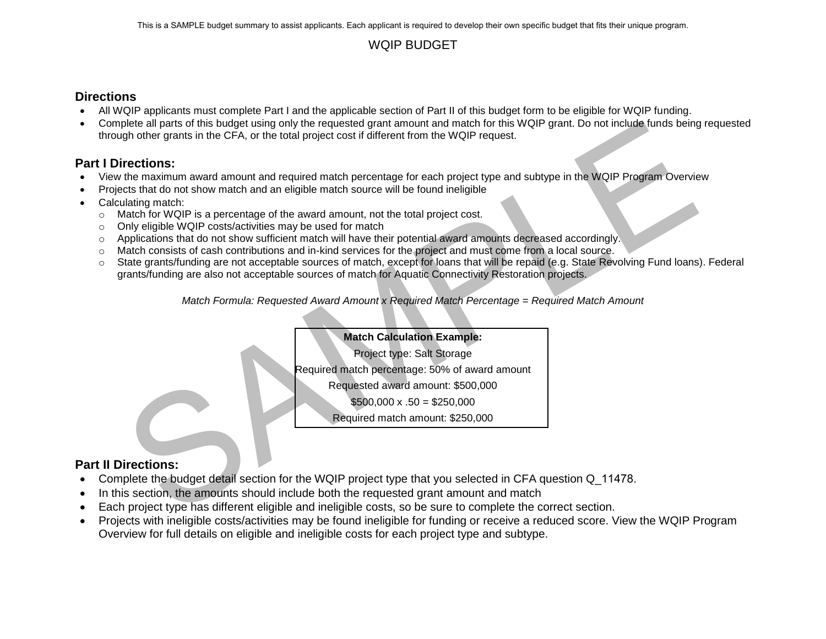### WQIP BUDGET

### **Directions**

- All WQIP applicants must complete Part I and the applicable section of Part II of this budget form to be eligible for WQIP funding.
- Complete all parts of this budget using only the requested grant amount and match for this WQIP grant. Do not include funds being requested through other grants in the CFA, or the total project cost if different from the WQIP request.

## **Part I Directions:**

- View the maximum award amount and required match percentage for each project type and subtype in the WQIP Program Overview
- Projects that do not show match and an eligible match source will be found ineligible
- Calculating match:
	- $\circ$  Match for WQIP is a percentage of the award amount, not the total project cost.
	- o Only eligible WQIP costs/activities may be used for match
	- o Applications that do not show sufficient match will have their potential award amounts decreased accordingly.
	- o Match consists of cash contributions and in-kind services for the project and must come from a local source.
- plete all parts of this budget using only the requested part amount and match for this WOIP grant. Do not include tunds being<br>the different moment and required match for the total project cost if different from the WOIP re o State grants/funding are not acceptable sources of match, except for loans that will be repaid (e.g. State Revolving Fund loans). Federal grants/funding are also not acceptable sources of match for Aquatic Connectivity Restoration projects.

*Match Formula: Requested Award Amount x Required Match Percentage = Required Match Amount*

### **Match Calculation Example:**

Project type: Salt Storage

Required match percentage: 50% of award amount

Requested award amount: \$500,000

 $$500,000 \times .50 = $250,000$ 

Required match amount: \$250,000

### **Part II Directions:**

- Complete the budget detail section for the WQIP project type that you selected in CFA question Q 11478.
- In this section, the amounts should include both the requested grant amount and match
- Each project type has different eligible and ineligible costs, so be sure to complete the correct section.
- Projects with ineligible costs/activities may be found ineligible for funding or receive a reduced score. View the WQIP Program Overview for full details on eligible and ineligible costs for each project type and subtype.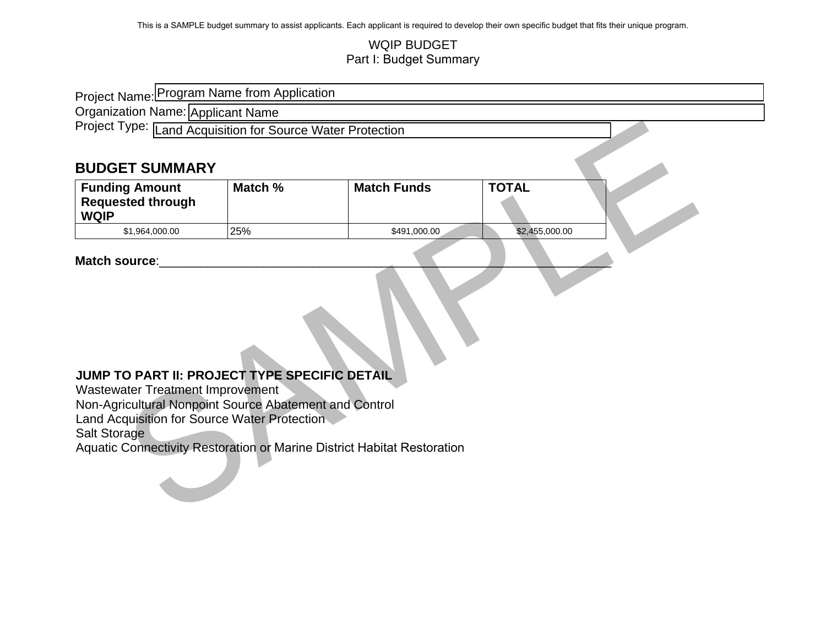### WQIP BUDGET Part I: Budget Summary

| Project Name: Program Name from Application                                                                                                                                                                                                                                                             |         |                    |                |  |  |
|---------------------------------------------------------------------------------------------------------------------------------------------------------------------------------------------------------------------------------------------------------------------------------------------------------|---------|--------------------|----------------|--|--|
| Organization Name: Applicant Name                                                                                                                                                                                                                                                                       |         |                    |                |  |  |
| Project Type: Land Acquisition for Source Water Protection                                                                                                                                                                                                                                              |         |                    |                |  |  |
|                                                                                                                                                                                                                                                                                                         |         |                    |                |  |  |
| <b>BUDGET SUMMARY</b>                                                                                                                                                                                                                                                                                   |         |                    |                |  |  |
| <b>Funding Amount</b>                                                                                                                                                                                                                                                                                   | Match % | <b>Match Funds</b> | <b>TOTAL</b>   |  |  |
| <b>Requested through</b><br><b>WQIP</b>                                                                                                                                                                                                                                                                 |         |                    |                |  |  |
| \$1,964,000.00                                                                                                                                                                                                                                                                                          | 25%     | \$491,000.00       | \$2,455,000.00 |  |  |
| Match source:<br>JUMP TO PART II: PROJECT TYPE SPECIFIC DETAIL<br>Wastewater Treatment Improvement<br>Non-Agricultural Nonpoint Source Abatement and Control<br>Land Acquisition for Source Water Protection<br>Salt Storage<br>Aquatic Connectivity Restoration or Marine District Habitat Restoration |         |                    |                |  |  |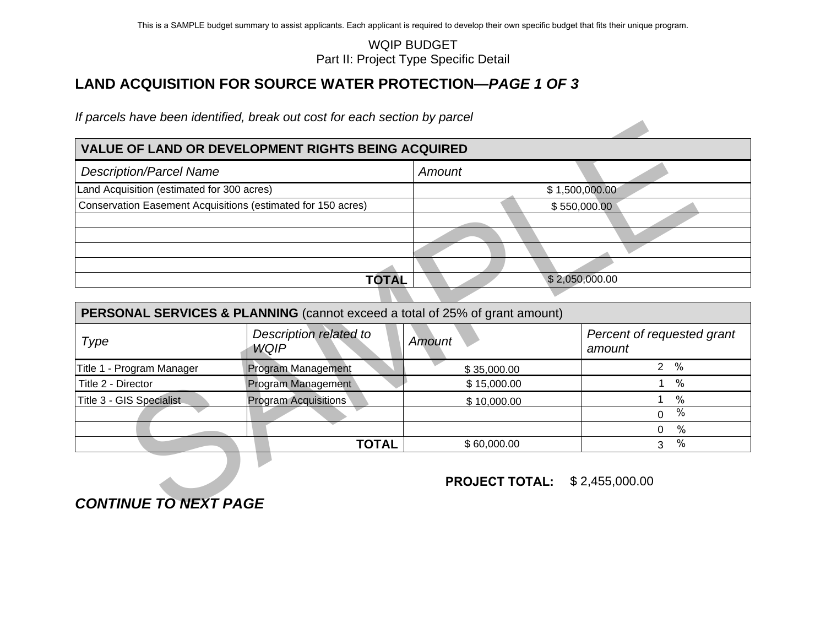### **VALUE OF LAND OR DEVELOPMENT RIGHTS BEING ACQUIRED**

| <b>Description/Parcel Name</b>                               | Amount |                |
|--------------------------------------------------------------|--------|----------------|
| Land Acquisition (estimated for 300 acres)                   |        | \$1,500,000.00 |
| Conservation Easement Acquisitions (estimated for 150 acres) |        | \$550,000.00   |
|                                                              |        |                |
|                                                              |        |                |
|                                                              |        |                |
|                                                              |        |                |
| TOTAL                                                        |        | \$2,050,000.00 |

<span id="page-2-0"></span>

|                                                              |                                                                             | <b>WQIP BUDGET</b><br>Part II: Project Type Specific Detail |                                      |
|--------------------------------------------------------------|-----------------------------------------------------------------------------|-------------------------------------------------------------|--------------------------------------|
|                                                              | LAND ACQUISITION FOR SOURCE WATER PROTECTION—PAGE 1 OF 3                    |                                                             |                                      |
|                                                              | If parcels have been identified, break out cost for each section by parcel  |                                                             |                                      |
|                                                              | <b>VALUE OF LAND OR DEVELOPMENT RIGHTS BEING ACQUIRED</b>                   |                                                             |                                      |
| <b>Description/Parcel Name</b>                               |                                                                             | Amount                                                      |                                      |
| Land Acquisition (estimated for 300 acres)                   |                                                                             |                                                             | \$1,500,000.00                       |
| Conservation Easement Acquisitions (estimated for 150 acres) |                                                                             |                                                             | \$550,000.00                         |
|                                                              |                                                                             |                                                             |                                      |
|                                                              |                                                                             |                                                             |                                      |
|                                                              |                                                                             |                                                             |                                      |
|                                                              | <b>TOTAL</b>                                                                |                                                             | \$2,050,000.00                       |
|                                                              |                                                                             |                                                             |                                      |
|                                                              | PERSONAL SERVICES & PLANNING (cannot exceed a total of 25% of grant amount) |                                                             |                                      |
| Type                                                         | Description related to<br><b>WQIP</b>                                       | Amount                                                      | Percent of requested grant<br>amount |
| Title 1 - Program Manager                                    | Program Management                                                          | \$35,000.00                                                 | $2\frac{9}{6}$                       |
| Title 2 - Director                                           | Program Management                                                          | \$15,000.00                                                 | $\frac{0}{0}$<br>$\mathbf{1}$        |
| Title 3 - GIS Specialist                                     | <b>Program Acquisitions</b>                                                 | \$10,000.00                                                 | $\%$<br>1                            |
|                                                              |                                                                             |                                                             | $\frac{0}{0}$<br>$\mathbf 0$         |
|                                                              |                                                                             |                                                             | $\%$<br>0                            |
|                                                              | <b>TOTAL</b>                                                                | \$60,000.00                                                 | $\%$<br>3                            |
|                                                              |                                                                             | <b>PROJECT TOTAL:</b>                                       | \$2,455,000.00                       |
| <b>CONTINUE TO NEXT PAGE</b>                                 |                                                                             |                                                             |                                      |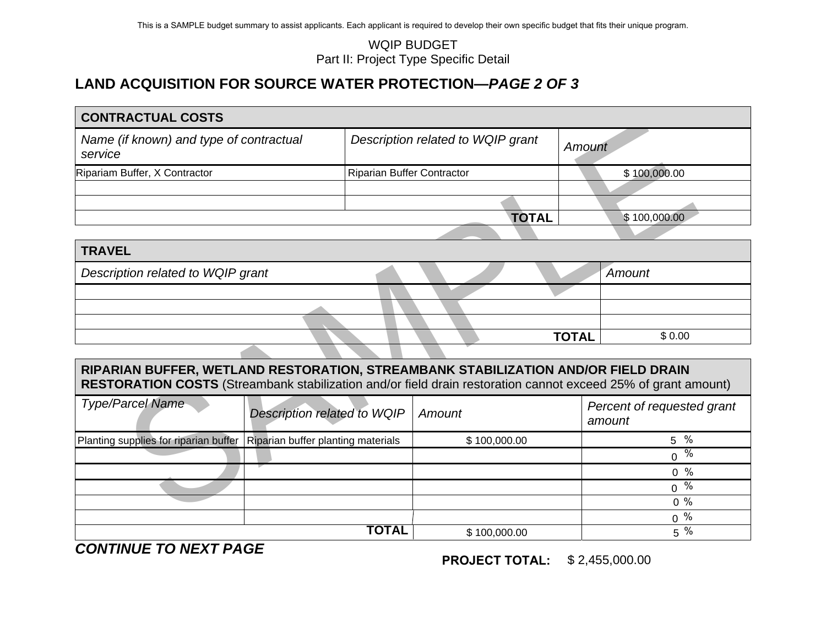|                                                                                                                                                                                                    |                                    |                                   | <b>WQIP BUDGET</b><br>Part II: Project Type Specific Detail |              |                                      |
|----------------------------------------------------------------------------------------------------------------------------------------------------------------------------------------------------|------------------------------------|-----------------------------------|-------------------------------------------------------------|--------------|--------------------------------------|
| <b>LAND ACQUISITION FOR SOURCE WATER PROTECTION-PAGE 2 OF 3</b>                                                                                                                                    |                                    |                                   |                                                             |              |                                      |
| <b>CONTRACTUAL COSTS</b>                                                                                                                                                                           |                                    |                                   |                                                             |              |                                      |
| Name (if known) and type of contractual<br>service                                                                                                                                                 |                                    |                                   | Description related to WQIP grant                           |              | Amount                               |
| Ripariam Buffer, X Contractor                                                                                                                                                                      |                                    | <b>Riparian Buffer Contractor</b> |                                                             |              | \$100,000.00                         |
|                                                                                                                                                                                                    |                                    |                                   |                                                             |              |                                      |
|                                                                                                                                                                                                    |                                    |                                   |                                                             | <b>TOTAL</b> | \$100,000.00                         |
|                                                                                                                                                                                                    |                                    |                                   |                                                             |              |                                      |
| <b>TRAVEL</b>                                                                                                                                                                                      |                                    |                                   |                                                             |              |                                      |
| Description related to WQIP grant                                                                                                                                                                  |                                    |                                   |                                                             |              | Amount                               |
|                                                                                                                                                                                                    |                                    |                                   |                                                             |              |                                      |
|                                                                                                                                                                                                    |                                    |                                   |                                                             |              |                                      |
|                                                                                                                                                                                                    |                                    |                                   |                                                             |              |                                      |
|                                                                                                                                                                                                    |                                    |                                   |                                                             | <b>TOTAL</b> | \$0.00                               |
|                                                                                                                                                                                                    |                                    |                                   |                                                             |              |                                      |
| RIPARIAN BUFFER, WETLAND RESTORATION, STREAMBANK STABILIZATION AND/OR FIELD DRAIN<br>RESTORATION COSTS (Streambank stabilization and/or field drain restoration cannot exceed 25% of grant amount) |                                    |                                   |                                                             |              |                                      |
| <b>Type/Parcel Name</b>                                                                                                                                                                            | Description related to WQIP        |                                   | Amount                                                      |              | Percent of requested grant<br>amount |
| Planting supplies for riparian buffer                                                                                                                                                              | Riparian buffer planting materials |                                   | \$100,000.00                                                |              | 5 %                                  |
|                                                                                                                                                                                                    |                                    |                                   |                                                             |              | $0^{\frac{1}{\%}}$                   |
|                                                                                                                                                                                                    |                                    |                                   |                                                             |              | $0 \frac{9}{6}$                      |
|                                                                                                                                                                                                    |                                    |                                   |                                                             |              | $0 \frac{9}{6}$                      |
|                                                                                                                                                                                                    |                                    |                                   |                                                             |              | $0\%$<br>$\Omega$<br>$\sim$          |

| <b>TRAVEL</b>                     |  |  |              |        |
|-----------------------------------|--|--|--------------|--------|
| Description related to WQIP grant |  |  |              | Amount |
|                                   |  |  |              |        |
|                                   |  |  |              |        |
|                                   |  |  |              |        |
|                                   |  |  | <b>TOTAL</b> | \$0.00 |

# **RIPARIAN BUFFER, WETLAND RESTORATION, STREAMBANK STABILIZATION AND/OR FIELD DRAIN RESTORATION COSTS** (Streambank stabilization and/or field drain restoration cannot exceed 25% of grant amount)

| <b>Type/Parcel Name</b>                                                    | Description related to WQIP | Amount       | Percent of requested grant<br>amount |
|----------------------------------------------------------------------------|-----------------------------|--------------|--------------------------------------|
| Planting supplies for riparian buffer   Riparian buffer planting materials |                             | \$100,000.00 | %<br>5                               |
|                                                                            |                             |              | $\%$<br>$\Omega$                     |
|                                                                            |                             |              | $0\%$                                |
|                                                                            |                             |              | %<br>$\mathbf 0$                     |
|                                                                            |                             |              | $0\%$                                |
|                                                                            |                             |              | %<br>0                               |
|                                                                            | TOTAL                       | \$100,000.00 | $\%$<br>5                            |

*CONTINUE TO NEXT PAGE* 

**PROJECT TOTAL:**\$ 2,455,000.00